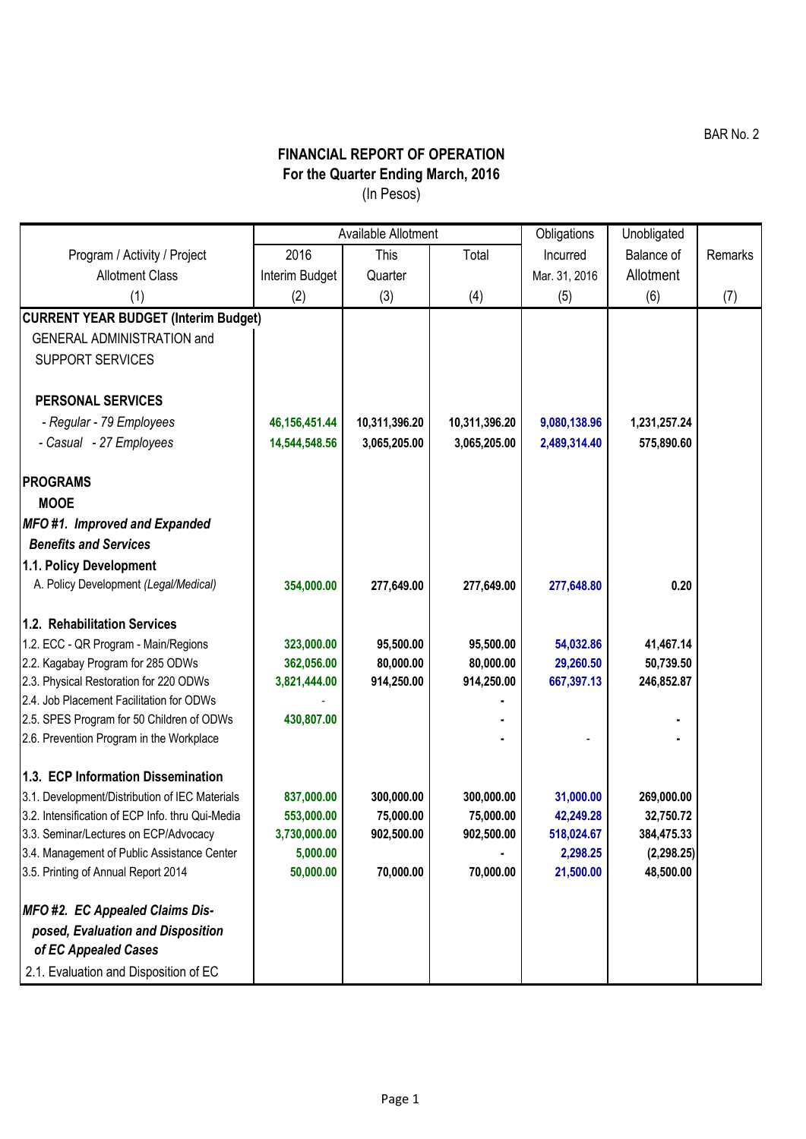## **FINANCIAL REPORT OF OPERATION For the Quarter Ending March, 2016**

(In Pesos)

|                                                  | Available Allotment |               |               | Obligations   | Unobligated       |         |
|--------------------------------------------------|---------------------|---------------|---------------|---------------|-------------------|---------|
| Program / Activity / Project                     | 2016                | This          | Total         | Incurred      | <b>Balance of</b> | Remarks |
| <b>Allotment Class</b>                           | Interim Budget      | Quarter       |               | Mar. 31, 2016 | Allotment         |         |
| (1)                                              | (2)                 | (3)           | (4)           | (5)           | (6)               | (7)     |
| <b>CURRENT YEAR BUDGET (Interim Budget)</b>      |                     |               |               |               |                   |         |
| <b>GENERAL ADMINISTRATION and</b>                |                     |               |               |               |                   |         |
| <b>SUPPORT SERVICES</b>                          |                     |               |               |               |                   |         |
| <b>PERSONAL SERVICES</b>                         |                     |               |               |               |                   |         |
| - Regular - 79 Employees                         | 46, 156, 451. 44    | 10,311,396.20 | 10,311,396.20 | 9,080,138.96  | 1,231,257.24      |         |
| - Casual - 27 Employees                          | 14,544,548.56       | 3,065,205.00  | 3,065,205.00  | 2,489,314.40  | 575,890.60        |         |
| <b>PROGRAMS</b>                                  |                     |               |               |               |                   |         |
| <b>MOOE</b>                                      |                     |               |               |               |                   |         |
| MFO#1. Improved and Expanded                     |                     |               |               |               |                   |         |
| <b>Benefits and Services</b>                     |                     |               |               |               |                   |         |
| 1.1. Policy Development                          |                     |               |               |               |                   |         |
| A. Policy Development (Legal/Medical)            | 354,000.00          | 277,649.00    | 277,649.00    | 277,648.80    | 0.20              |         |
| 1.2. Rehabilitation Services                     |                     |               |               |               |                   |         |
| 1.2. ECC - QR Program - Main/Regions             | 323,000.00          | 95,500.00     | 95,500.00     | 54,032.86     | 41,467.14         |         |
| 2.2. Kagabay Program for 285 ODWs                | 362,056.00          | 80,000.00     | 80,000.00     | 29,260.50     | 50,739.50         |         |
| 2.3. Physical Restoration for 220 ODWs           | 3,821,444.00        | 914,250.00    | 914,250.00    | 667,397.13    | 246,852.87        |         |
| 2.4. Job Placement Facilitation for ODWs         |                     |               |               |               |                   |         |
| 2.5. SPES Program for 50 Children of ODWs        | 430,807.00          |               |               |               |                   |         |
| 2.6. Prevention Program in the Workplace         |                     |               |               |               |                   |         |
| 1.3. ECP Information Dissemination               |                     |               |               |               |                   |         |
| 3.1. Development/Distribution of IEC Materials   | 837,000.00          | 300,000.00    | 300,000.00    | 31,000.00     | 269,000.00        |         |
| 3.2. Intensification of ECP Info. thru Qui-Media | 553,000.00          | 75,000.00     | 75,000.00     | 42,249.28     | 32,750.72         |         |
| 3.3. Seminar/Lectures on ECP/Advocacy            | 3,730,000.00        | 902,500.00    | 902,500.00    | 518,024.67    | 384,475.33        |         |
| 3.4. Management of Public Assistance Center      | 5,000.00            |               |               | 2,298.25      | (2, 298.25)       |         |
| 3.5. Printing of Annual Report 2014              | 50,000.00           | 70,000.00     | 70,000.00     | 21,500.00     | 48,500.00         |         |
| MFO #2. EC Appealed Claims Dis-                  |                     |               |               |               |                   |         |
| posed, Evaluation and Disposition                |                     |               |               |               |                   |         |
| of EC Appealed Cases                             |                     |               |               |               |                   |         |
| 2.1. Evaluation and Disposition of EC            |                     |               |               |               |                   |         |

BAR No. 2